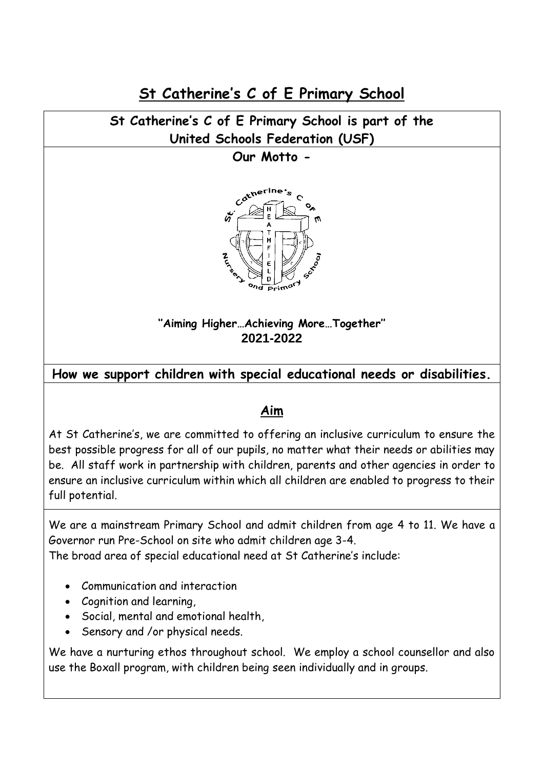**St Catherine's C of E Primary School**

# **St Catherine's C of E Primary School is part of the United Schools Federation (USF)**

### **Our Motto -**



# **''Aiming Higher…Achieving More…Together'' 2021-2022**

# **How we support children with special educational needs or disabilities.**

## **Aim**

At St Catherine's, we are committed to offering an inclusive curriculum to ensure the best possible progress for all of our pupils, no matter what their needs or abilities may be. All staff work in partnership with children, parents and other agencies in order to ensure an inclusive curriculum within which all children are enabled to progress to their full potential.

We are a mainstream Primary School and admit children from age 4 to 11. We have a Governor run Pre-School on site who admit children age 3-4.

The broad area of special educational need at St Catherine's include:

- Communication and interaction
- Cognition and learning,
- Social, mental and emotional health,
- Sensory and /or physical needs.

We have a nurturing ethos throughout school. We employ a school counsellor and also use the Boxall program, with children being seen individually and in groups.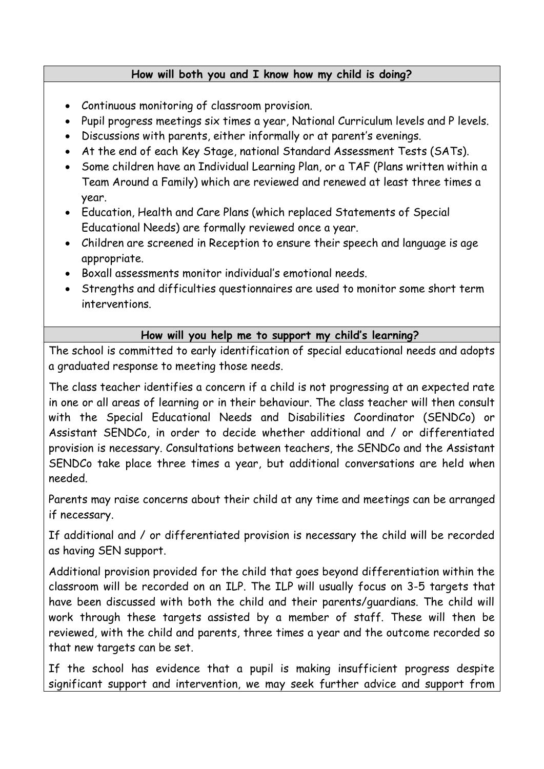#### **How will both you and I know how my child is doing?**

- Continuous monitoring of classroom provision.
- Pupil progress meetings six times a year, National Curriculum levels and P levels.
- Discussions with parents, either informally or at parent's evenings.
- At the end of each Key Stage, national Standard Assessment Tests (SATs).
- Some children have an Individual Learning Plan, or a TAF (Plans written within a Team Around a Family) which are reviewed and renewed at least three times a year.
- Education, Health and Care Plans (which replaced Statements of Special Educational Needs) are formally reviewed once a year.
- Children are screened in Reception to ensure their speech and language is age appropriate.
- Boxall assessments monitor individual's emotional needs.
- Strengths and difficulties questionnaires are used to monitor some short term interventions.

## **How will you help me to support my child's learning?**

The school is committed to early identification of special educational needs and adopts a graduated response to meeting those needs.

The class teacher identifies a concern if a child is not progressing at an expected rate in one or all areas of learning or in their behaviour. The class teacher will then consult with the Special Educational Needs and Disabilities Coordinator (SENDCo) or Assistant SENDCo, in order to decide whether additional and / or differentiated provision is necessary. Consultations between teachers, the SENDCo and the Assistant SENDCo take place three times a year, but additional conversations are held when needed.

Parents may raise concerns about their child at any time and meetings can be arranged if necessary.

If additional and / or differentiated provision is necessary the child will be recorded as having SEN support.

Additional provision provided for the child that goes beyond differentiation within the classroom will be recorded on an ILP. The ILP will usually focus on 3-5 targets that have been discussed with both the child and their parents/guardians. The child will work through these targets assisted by a member of staff. These will then be reviewed, with the child and parents, three times a year and the outcome recorded so that new targets can be set.

If the school has evidence that a pupil is making insufficient progress despite significant support and intervention, we may seek further advice and support from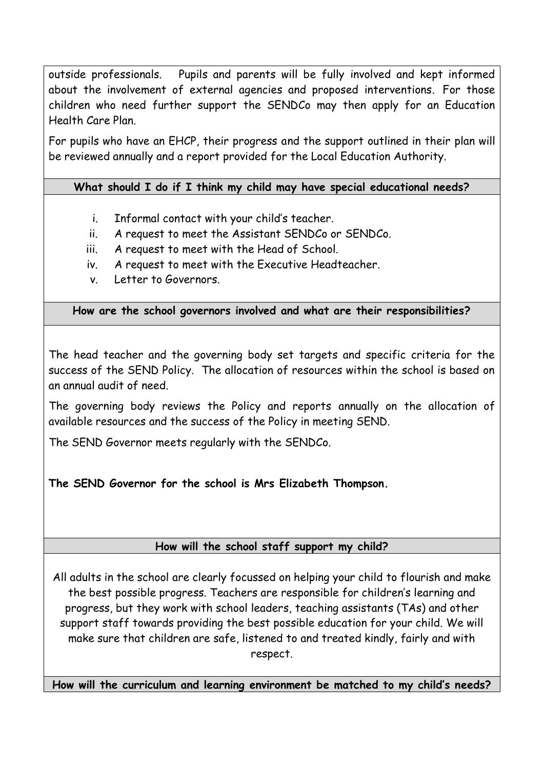outside professionals. Pupils and parents will be fully involved and kept informed about the involvement of external agencies and proposed interventions*.* For those children who need further support the SENDCo may then apply for an Education Health Care Plan.

For pupils who have an EHCP, their progress and the support outlined in their plan will be reviewed annually and a report provided for the Local Education Authority.

## **What should I do if I think my child may have special educational needs?**

- i. Informal contact with your child's teacher.
- ii. A request to meet the Assistant SENDCo or SENDCo.
- iii. A request to meet with the Head of School.
- iv. A request to meet with the Executive Headteacher.
- v. Letter to Governors.

**How are the school governors involved and what are their responsibilities?**

The head teacher and the governing body set targets and specific criteria for the success of the SEND Policy. The allocation of resources within the school is based on an annual audit of need.

The governing body reviews the Policy and reports annually on the allocation of available resources and the success of the Policy in meeting SEND.

The SEND Governor meets regularly with the SENDCo.

## **The SEND Governor for the school is Mrs Elizabeth Thompson.**

## **How will the school staff support my child?**

All adults in the school are clearly focussed on helping your child to flourish and make the best possible progress. Teachers are responsible for children's learning and progress, but they work with school leaders, teaching assistants (TAs) and other support staff towards providing the best possible education for your child. We will make sure that children are safe, listened to and treated kindly, fairly and with respect.

**How will the curriculum and learning environment be matched to my child's needs?**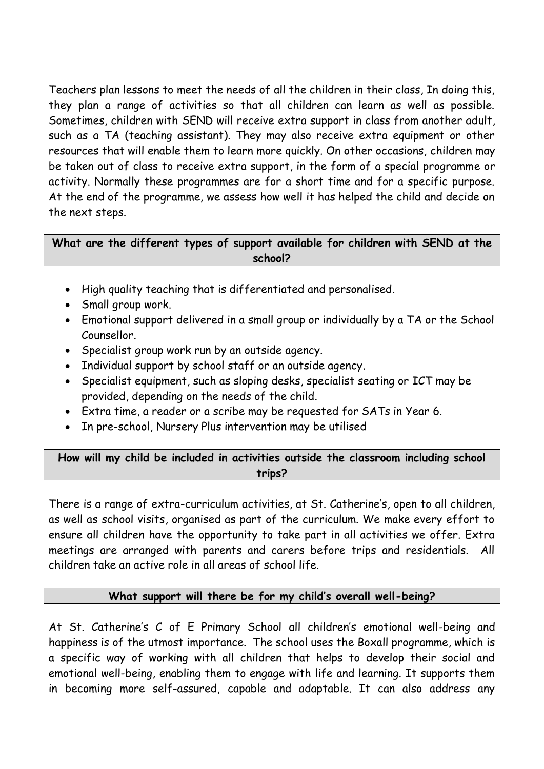Teachers plan lessons to meet the needs of all the children in their class, In doing this, they plan a range of activities so that all children can learn as well as possible. Sometimes, children with SEND will receive extra support in class from another adult, such as a TA (teaching assistant). They may also receive extra equipment or other resources that will enable them to learn more quickly. On other occasions, children may be taken out of class to receive extra support, in the form of a special programme or activity. Normally these programmes are for a short time and for a specific purpose. At the end of the programme, we assess how well it has helped the child and decide on the next steps.

**What are the different types of support available for children with SEND at the school?**

- High quality teaching that is differentiated and personalised.
- Small group work.
- Emotional support delivered in a small group or individually by a TA or the School Counsellor.
- Specialist group work run by an outside agency.
- Individual support by school staff or an outside agency.
- Specialist equipment, such as sloping desks, specialist seating or ICT may be provided, depending on the needs of the child.
- Extra time, a reader or a scribe may be requested for SATs in Year 6.
- In pre-school, Nursery Plus intervention may be utilised

**How will my child be included in activities outside the classroom including school trips?**

There is a range of extra-curriculum activities, at St. Catherine's, open to all children, as well as school visits, organised as part of the curriculum. We make every effort to ensure all children have the opportunity to take part in all activities we offer. Extra meetings are arranged with parents and carers before trips and residentials. All children take an active role in all areas of school life.

### **What support will there be for my child's overall well-being?**

At St. Catherine's C of E Primary School all children's emotional well-being and happiness is of the utmost importance. The school uses the Boxall programme, which is a specific way of working with all children that helps to develop their social and emotional well-being, enabling them to engage with life and learning. It supports them in becoming more self-assured, capable and adaptable. It can also address any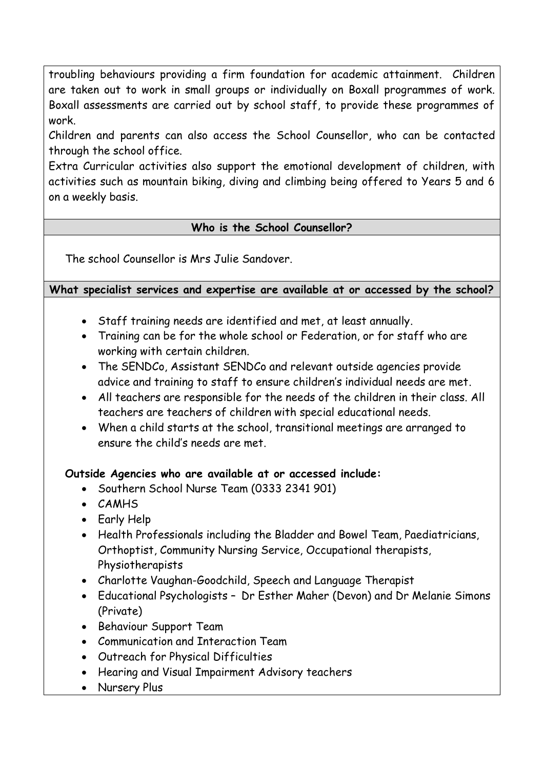troubling behaviours providing a firm foundation for academic attainment. Children are taken out to work in small groups or individually on Boxall programmes of work. Boxall assessments are carried out by school staff, to provide these programmes of work.

Children and parents can also access the School Counsellor, who can be contacted through the school office.

Extra Curricular activities also support the emotional development of children, with activities such as mountain biking, diving and climbing being offered to Years 5 and 6 on a weekly basis.

### **Who is the School Counsellor?**

The school Counsellor is Mrs Julie Sandover.

#### **What specialist services and expertise are available at or accessed by the school?**

- Staff training needs are identified and met, at least annually.
- Training can be for the whole school or Federation, or for staff who are working with certain children.
- The SENDCo, Assistant SENDCo and relevant outside agencies provide advice and training to staff to ensure children's individual needs are met.
- All teachers are responsible for the needs of the children in their class. All teachers are teachers of children with special educational needs.
- When a child starts at the school, transitional meetings are arranged to ensure the child's needs are met.

#### **Outside Agencies who are available at or accessed include:**

- Southern School Nurse Team (0333 2341 901)
- CAMHS
- Early Help
- Health Professionals including the Bladder and Bowel Team, Paediatricians, Orthoptist, Community Nursing Service, Occupational therapists, Physiotherapists
- Charlotte Vaughan-Goodchild, Speech and Language Therapist
- Educational Psychologists Dr Esther Maher (Devon) and Dr Melanie Simons (Private)
- Behaviour Support Team
- Communication and Interaction Team
- Outreach for Physical Difficulties
- Hearing and Visual Impairment Advisory teachers
- Nursery Plus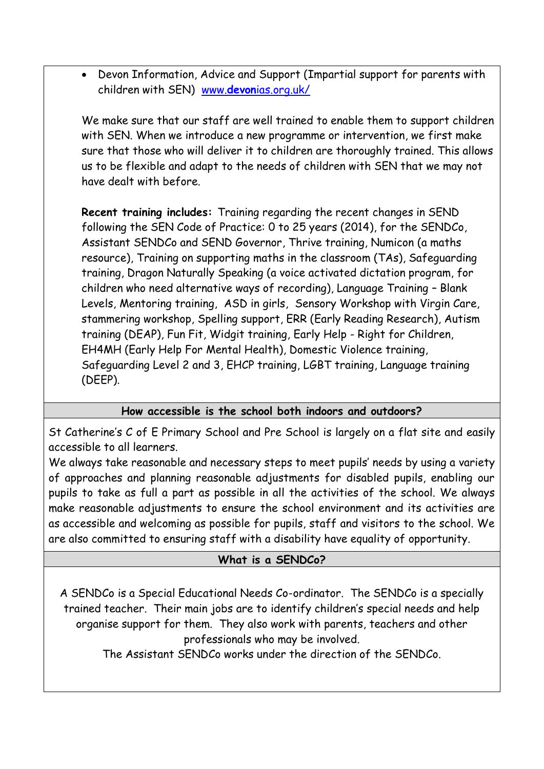• Devon Information, Advice and Support (Impartial support for parents with children with SEN) www.**devon**[ias.org.uk/](http://www.devonias.org.uk/)

We make sure that our staff are well trained to enable them to support children with SEN. When we introduce a new programme or intervention, we first make sure that those who will deliver it to children are thoroughly trained. This allows us to be flexible and adapt to the needs of children with SEN that we may not have dealt with before.

**Recent training includes:** Training regarding the recent changes in SEND following the SEN Code of Practice: 0 to 25 years (2014), for the SENDCo, Assistant SENDCo and SEND Governor, Thrive training, Numicon (a maths resource), Training on supporting maths in the classroom (TAs), Safeguarding training, Dragon Naturally Speaking (a voice activated dictation program, for children who need alternative ways of recording), Language Training – Blank Levels, Mentoring training, ASD in girls, Sensory Workshop with Virgin Care, stammering workshop, Spelling support, ERR (Early Reading Research), Autism training (DEAP), Fun Fit, Widgit training, Early Help - Right for Children, EH4MH (Early Help For Mental Health), Domestic Violence training, Safeguarding Level 2 and 3, EHCP training, LGBT training, Language training (DEEP).

## **How accessible is the school both indoors and outdoors?**

St Catherine's C of E Primary School and Pre School is largely on a flat site and easily accessible to all learners.

We always take reasonable and necessary steps to meet pupils' needs by using a variety of approaches and planning reasonable adjustments for disabled pupils, enabling our pupils to take as full a part as possible in all the activities of the school. We always make reasonable adjustments to ensure the school environment and its activities are as accessible and welcoming as possible for pupils, staff and visitors to the school. We are also committed to ensuring staff with a disability have equality of opportunity.

### **What is a SENDCo?**

A SENDCo is a Special Educational Needs Co-ordinator. The SENDCo is a specially trained teacher. Their main jobs are to identify children's special needs and help organise support for them. They also work with parents, teachers and other professionals who may be involved.

The Assistant SENDCo works under the direction of the SENDCo.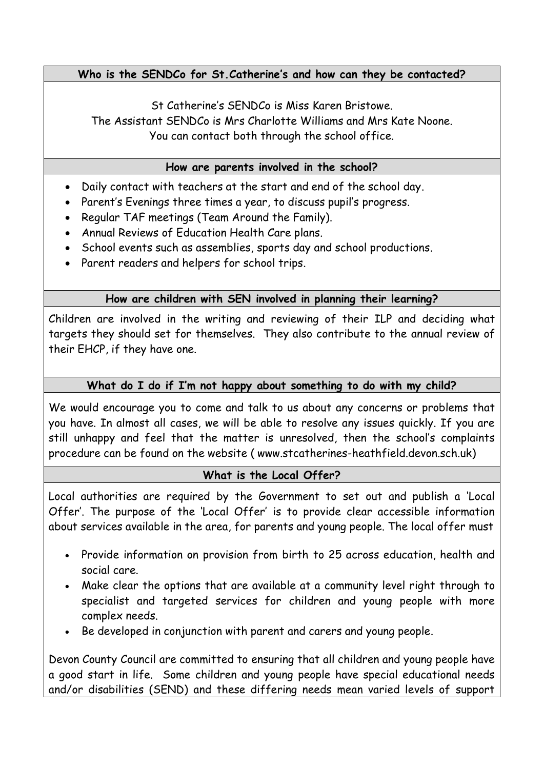### **Who is the SENDCo for St.Catherine's and how can they be contacted?**

St Catherine's SENDCo is Miss Karen Bristowe. The Assistant SENDCo is Mrs Charlotte Williams and Mrs Kate Noone. You can contact both through the school office.

#### **How are parents involved in the school?**

- Daily contact with teachers at the start and end of the school day.
- Parent's Evenings three times a year, to discuss pupil's progress.
- Regular TAF meetings (Team Around the Family).
- Annual Reviews of Education Health Care plans.
- School events such as assemblies, sports day and school productions.
- Parent readers and helpers for school trips.

### **How are children with SEN involved in planning their learning?**

Children are involved in the writing and reviewing of their ILP and deciding what targets they should set for themselves. They also contribute to the annual review of their EHCP, if they have one.

#### **What do I do if I'm not happy about something to do with my child?**

We would encourage you to come and talk to us about any concerns or problems that you have. In almost all cases, we will be able to resolve any issues quickly. If you are still unhappy and feel that the matter is unresolved, then the school's complaints procedure can be found on the website ( www.stcatherines-heathfield.devon.sch.uk)

### **What is the Local Offer?**

Local authorities are required by the Government to set out and publish a 'Local Offer'. The purpose of the 'Local Offer' is to provide clear accessible information about services available in the area, for parents and young people. The local offer must

- Provide information on provision from birth to 25 across education, health and social care.
- Make clear the options that are available at a community level right through to specialist and targeted services for children and young people with more complex needs.
- Be developed in conjunction with parent and carers and young people.

Devon County Council are committed to ensuring that all children and young people have a good start in life. Some children and young people have special educational needs and/or disabilities (SEND) and these differing needs mean varied levels of support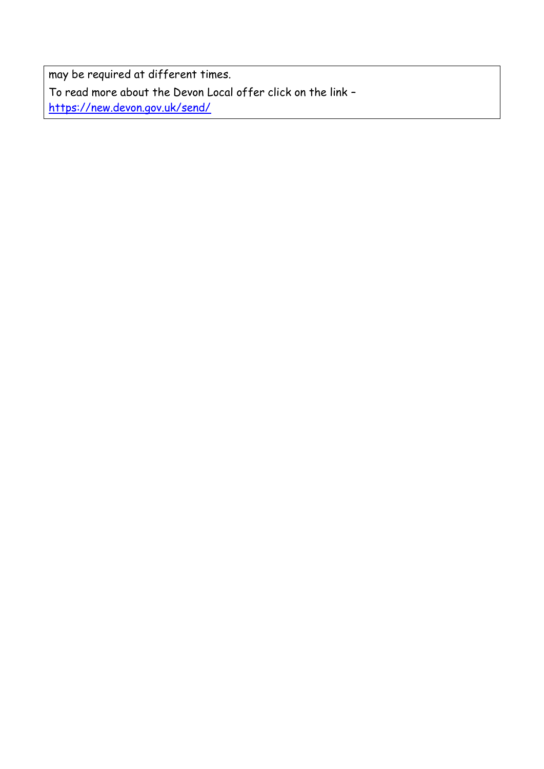may be required at different times. To read more about the Devon Local offer click on the link – <https://new.devon.gov.uk/send/>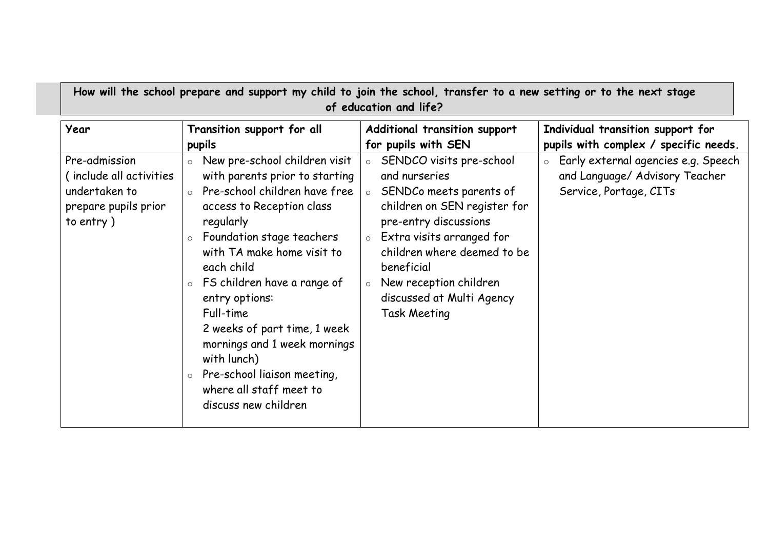|  | How will the school prepare and support my child to join the school, transfer to a new setting or to the next stage<br>of education and life? |  |  |  |  |  |
|--|-----------------------------------------------------------------------------------------------------------------------------------------------|--|--|--|--|--|
|  |                                                                                                                                               |  |  |  |  |  |

| Year                                                                                            | Transition support for all                                                                                                                                                                                                                                                                                                                                                                                                                                                           | Additional transition support                                                                                                                                                                                                                                                                               | Individual transition support for                                                                 |
|-------------------------------------------------------------------------------------------------|--------------------------------------------------------------------------------------------------------------------------------------------------------------------------------------------------------------------------------------------------------------------------------------------------------------------------------------------------------------------------------------------------------------------------------------------------------------------------------------|-------------------------------------------------------------------------------------------------------------------------------------------------------------------------------------------------------------------------------------------------------------------------------------------------------------|---------------------------------------------------------------------------------------------------|
|                                                                                                 | pupils                                                                                                                                                                                                                                                                                                                                                                                                                                                                               | for pupils with SEN                                                                                                                                                                                                                                                                                         | pupils with complex / specific needs.                                                             |
| Pre-admission<br>( include all activities<br>undertaken to<br>prepare pupils prior<br>to entry) | New pre-school children visit<br>$\circ$<br>with parents prior to starting<br>Pre-school children have free<br>$\Omega$<br>access to Reception class<br>regularly<br>Foundation stage teachers<br>with TA make home visit to<br>each child<br>FS children have a range of<br>$\circ$<br>entry options:<br>Full-time<br>2 weeks of part time, 1 week<br>mornings and 1 week mornings<br>with lunch)<br>Pre-school liaison meeting,<br>where all staff meet to<br>discuss new children | SENDCO visits pre-school<br>$\circ$<br>and nurseries<br>SENDCo meets parents of<br>children on SEN register for<br>pre-entry discussions<br>Extra visits arranged for<br>$\circ$<br>children where deemed to be<br>beneficial<br>New reception children<br>discussed at Multi Agency<br><b>Task Meeting</b> | o Early external agencies e.g. Speech<br>and Language/ Advisory Teacher<br>Service, Portage, CITs |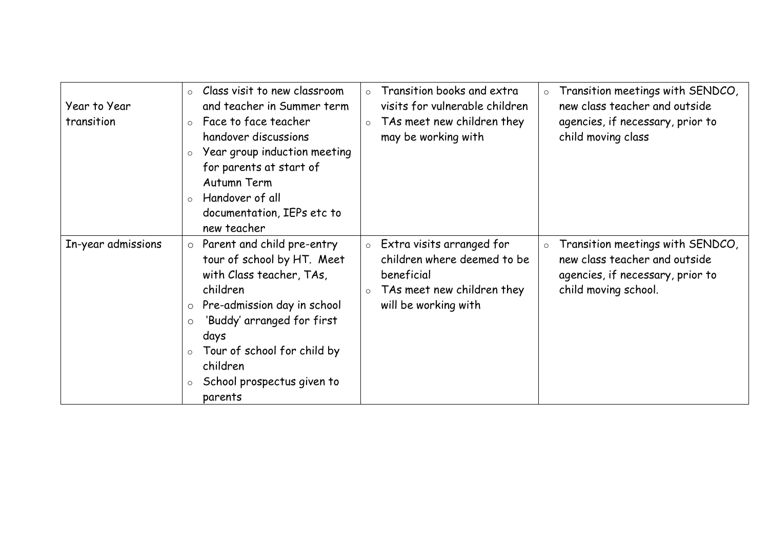| Year to Year<br>transition | Class visit to new classroom<br>Transition books and extra<br>Transition meetings with SENDCO,<br>$\circ$<br>$\circ$<br>$\circ$<br>new class teacher and outside<br>visits for vulnerable children<br>and teacher in Summer term<br>Face to face teacher<br>TAs meet new children they<br>agencies, if necessary, prior to<br>$\circ$<br>$\circ$<br>child moving class<br>handover discussions<br>may be working with<br>Year group induction meeting<br>$\circ$<br>for parents at start of<br>Autumn Term<br>Handover of all<br>$\circ$<br>documentation, IEPs etc to<br>new teacher                   |
|----------------------------|---------------------------------------------------------------------------------------------------------------------------------------------------------------------------------------------------------------------------------------------------------------------------------------------------------------------------------------------------------------------------------------------------------------------------------------------------------------------------------------------------------------------------------------------------------------------------------------------------------|
| In-year admissions         | Parent and child pre-entry<br>Extra visits arranged for<br>Transition meetings with SENDCO,<br>$\circ$<br>$\circ$<br>$\circ$<br>children where deemed to be<br>new class teacher and outside<br>tour of school by HT. Meet<br>with Class teacher, TAs,<br>beneficial<br>agencies, if necessary, prior to<br>child moving school.<br>children<br>TAs meet new children they<br>$\circ$<br>Pre-admission day in school<br>will be working with<br>$\circ$<br>'Buddy' arranged for first<br>$\circ$<br>days<br>Tour of school for child by<br>children<br>School prospectus given to<br>$\circ$<br>parents |